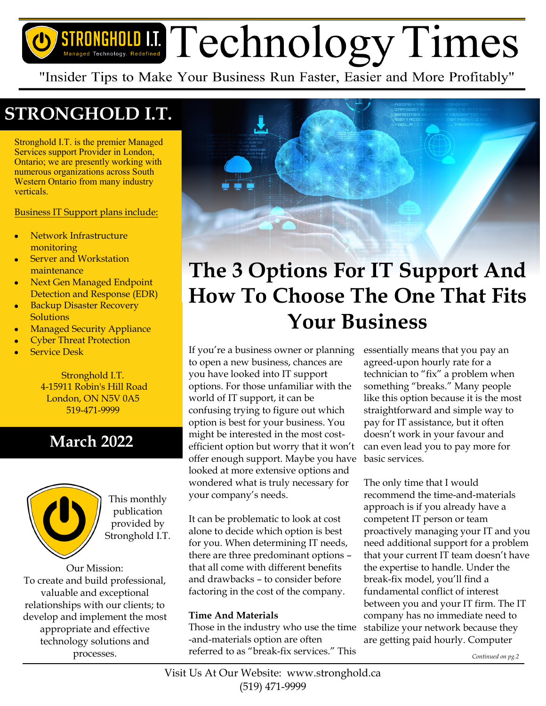# STRONGHOLD I.I. Technology. Redefined Technology. Redefined

"Insider Tips to Make Your Business Run Faster, Easier and More Profitably"

## **STRONGHOLD I.T.**

Stronghold I.T. is the premier Managed Services support Provider in London, Ontario; we are presently working with numerous organizations across South Western Ontario from many industry verticals.

Business IT Support plans include:

- Network Infrastructure monitoring
- Server and Workstation maintenance
- Next Gen Managed Endpoint Detection and Response (EDR)
- Backup Disaster Recovery **Solutions**
- Managed Security Appliance
- Cyber Threat Protection
- Service Desk

Stronghold I.T. 4-15911 Robin's Hill Road London, ON N5V 0A5 519-471-9999

## **March 2022**



This monthly publication provided by Stronghold I.T.

Our Mission: To create and build professional, valuable and exceptional relationships with our clients; to develop and implement the most appropriate and effective technology solutions and processes.



# **The 3 Options For IT Support And How To Choose The One That Fits Your Business**

If you're a business owner or planning to open a new business, chances are you have looked into IT support options. For those unfamiliar with the world of IT support, it can be confusing trying to figure out which option is best for your business. You might be interested in the most costefficient option but worry that it won't offer enough support. Maybe you have looked at more extensive options and wondered what is truly necessary for your company's needs.

It can be problematic to look at cost alone to decide which option is best for you. When determining IT needs, there are three predominant options – that all come with different benefits and drawbacks – to consider before factoring in the cost of the company.

#### **Time And Materials**

Those in the industry who use the time -and-materials option are often referred to as "break-fix services." This

essentially means that you pay an agreed-upon hourly rate for a technician to "fix" a problem when something "breaks." Many people like this option because it is the most straightforward and simple way to pay for IT assistance, but it often doesn't work in your favour and can even lead you to pay more for basic services.

The only time that I would recommend the time-and-materials approach is if you already have a competent IT person or team proactively managing your IT and you need additional support for a problem that your current IT team doesn't have the expertise to handle. Under the break-fix model, you'll find a fundamental conflict of interest between you and your IT firm. The IT company has no immediate need to stabilize your network because they are getting paid hourly. Computer

*Continued on pg.2*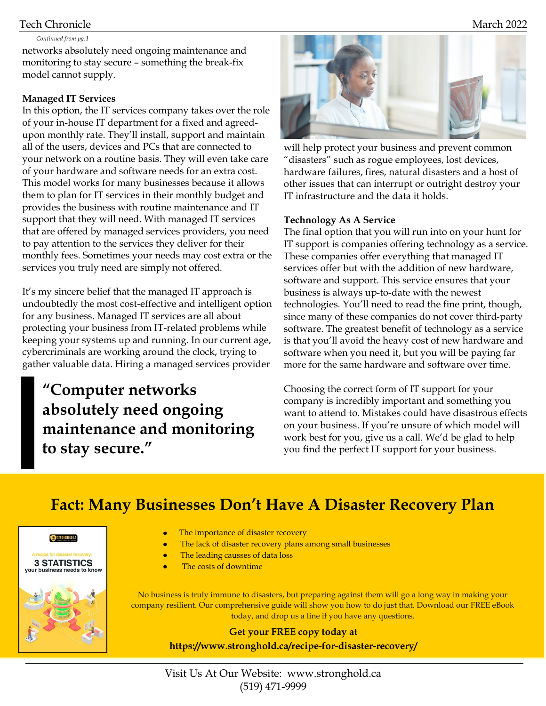#### Tech Chronicle March 2022

#### networks absolutely need ongoing maintenance and monitoring to stay secure – something the break-fix model cannot supply. *Continued from pg.1*

#### **Managed IT Services**

In this option, the IT services company takes over the role of your in-house IT department for a fixed and agreedupon monthly rate. They'll install, support and maintain all of the users, devices and PCs that are connected to your network on a routine basis. They will even take care of your hardware and software needs for an extra cost. This model works for many businesses because it allows them to plan for IT services in their monthly budget and provides the business with routine maintenance and IT support that they will need. With managed IT services that are offered by managed services providers, you need to pay attention to the services they deliver for their monthly fees. Sometimes your needs may cost extra or the services you truly need are simply not offered.

It's my sincere belief that the managed IT approach is undoubtedly the most cost-effective and intelligent option for any business. Managed IT services are all about protecting your business from IT-related problems while keeping your systems up and running. In our current age, cybercriminals are working around the clock, trying to gather valuable data. Hiring a managed services provider

**"Computer networks absolutely need ongoing maintenance and monitoring to stay secure."**



will help protect your business and prevent common "disasters" such as rogue employees, lost devices, hardware failures, fires, natural disasters and a host of other issues that can interrupt or outright destroy your IT infrastructure and the data it holds.

#### **Technology As A Service**

The final option that you will run into on your hunt for IT support is companies offering technology as a service. These companies offer everything that managed IT services offer but with the addition of new hardware, software and support. This service ensures that your business is always up-to-date with the newest technologies. You'll need to read the fine print, though, since many of these companies do not cover third-party software. The greatest benefit of technology as a service is that you'll avoid the heavy cost of new hardware and software when you need it, but you will be paying far more for the same hardware and software over time.

Choosing the correct form of IT support for your company is incredibly important and something you want to attend to. Mistakes could have disastrous effects on your business. If you're unsure of which model will work best for you, give us a call. We'd be glad to help you find the perfect IT support for your business.

## **Fact: Many Businesses Don't Have A Disaster Recovery Plan**



- $\bullet$ The importance of disaster recovery
- The lack of disaster recovery plans among small businesses
	- The leading causses of data loss
- The costs of downtime

No business is truly immune to disasters, but preparing against them will go a long way in making your company resilient. Our comprehensive guide will show you how to do just that. Download our FREE eBook today, and drop us a line if you have any questions.

**Get your FREE copy today at https://www.stronghold.ca/recipe-for-disaster-recovery/**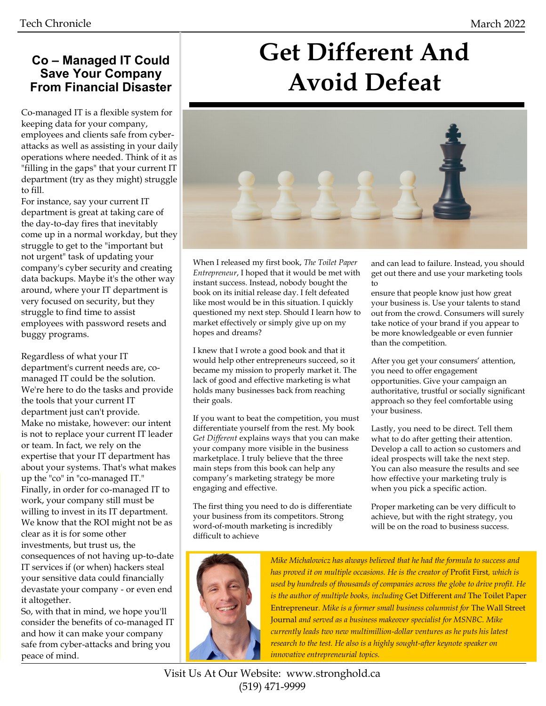### **Co – Managed IT Could Save Your Company From Financial Disaster**

Co-managed IT is a flexible system for keeping data for your company, employees and clients safe from cyberattacks as well as assisting in your daily operations where needed. Think of it as "filling in the gaps" that your current IT department (try as they might) struggle to fill.

For instance, say your current IT department is great at taking care of the day-to-day fires that inevitably come up in a normal workday, but they struggle to get to the "important but not urgent" task of updating your company's cyber security and creating data backups. Maybe it's the other way around, where your IT department is very focused on security, but they struggle to find time to assist employees with password resets and buggy programs.

Regardless of what your IT department's current needs are, comanaged IT could be the solution. We're here to do the tasks and provide the tools that your current IT department just can't provide. Make no mistake, however: our intent is not to replace your current IT leader or team. In fact, we rely on the expertise that your IT department has about your systems. That's what makes up the "co" in "co-managed IT." Finally, in order for co-managed IT to work, your company still must be willing to invest in its IT department. We know that the ROI might not be as clear as it is for some other investments, but trust us, the consequences of not having up-to-date IT services if (or when) hackers steal your sensitive data could financially devastate your company - or even end it altogether.

So, with that in mind, we hope you'll consider the benefits of co-managed IT and how it can make your company safe from cyber-attacks and bring you peace of mind.

# **Get Different And Avoid Defeat**



When I released my first book, *The Toilet Paper Entrepreneur*, I hoped that it would be met with instant success. Instead, nobody bought the book on its initial release day. I felt defeated like most would be in this situation. I quickly questioned my next step. Should I learn how to market effectively or simply give up on my hopes and dreams?

I knew that I wrote a good book and that it would help other entrepreneurs succeed, so it became my mission to properly market it. The lack of good and effective marketing is what holds many businesses back from reaching their goals.

If you want to beat the competition, you must differentiate yourself from the rest. My book *Get Different* explains ways that you can make your company more visible in the business marketplace. I truly believe that the three main steps from this book can help any company's marketing strategy be more engaging and effective.

The first thing you need to do is differentiate your business from its competitors. Strong word-of-mouth marketing is incredibly difficult to achieve

and can lead to failure. Instead, you should get out there and use your marketing tools to

ensure that people know just how great your business is. Use your talents to stand out from the crowd. Consumers will surely take notice of your brand if you appear to be more knowledgeable or even funnier than the competition.

After you get your consumers' attention, you need to offer engagement opportunities. Give your campaign an authoritative, trustful or socially significant approach so they feel comfortable using your business.

Lastly, you need to be direct. Tell them what to do after getting their attention. Develop a call to action so customers and ideal prospects will take the next step. You can also measure the results and see how effective your marketing truly is when you pick a specific action.

Proper marketing can be very difficult to achieve, but with the right strategy, you will be on the road to business success.



*Mike Michalowicz has always believed that he had the formula to success and has proved it on multiple occasions. He is the creator of* Profit First*, which is used by hundreds of thousands of companies across the globe to drive profit. He is the author of multiple books, including* Get Different *and* The Toilet Paper Entrepreneur*. Mike is a former small business columnist for* The Wall Street Journal *and served as a business makeover specialist for MSNBC. Mike currently leads two new multimillion-dollar ventures as he puts his latest research to the test. He also is a highly sought-after keynote speaker on innovative entrepreneurial topics.*